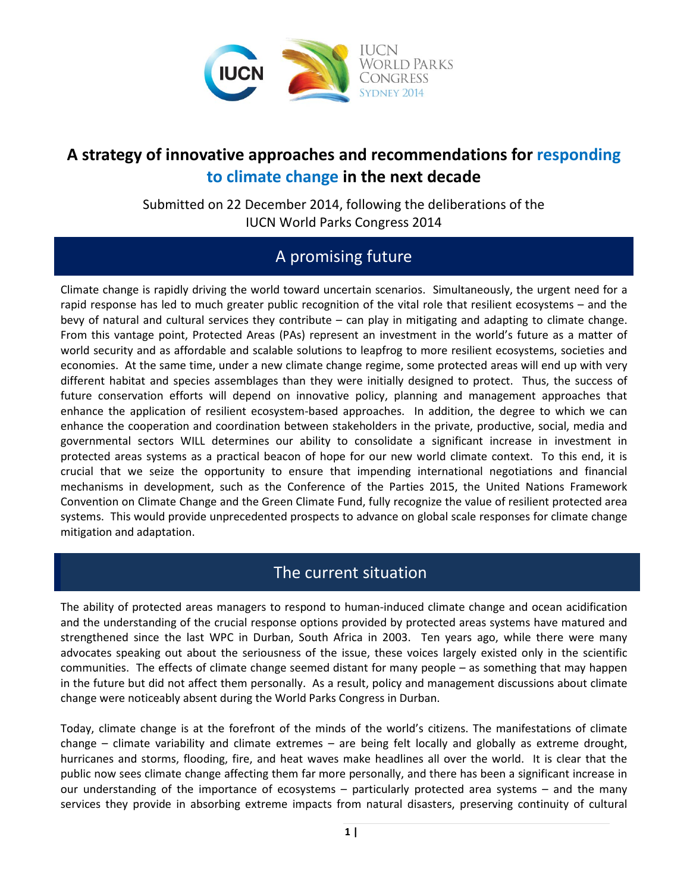

# **A strategy of innovative approaches and recommendations for responding to climate change in the next decade**

Submitted on 22 December 2014, following the deliberations of the IUCN World Parks Congress 2014

## A promising future

Climate change is rapidly driving the world toward uncertain scenarios. Simultaneously, the urgent need for a rapid response has led to much greater public recognition of the vital role that resilient ecosystems – and the bevy of natural and cultural services they contribute – can play in mitigating and adapting to climate change. From this vantage point, Protected Areas (PAs) represent an investment in the world's future as a matter of world security and as affordable and scalable solutions to leapfrog to more resilient ecosystems, societies and economies. At the same time, under a new climate change regime, some protected areas will end up with very different habitat and species assemblages than they were initially designed to protect. Thus, the success of future conservation efforts will depend on innovative policy, planning and management approaches that enhance the application of resilient ecosystem-based approaches. In addition, the degree to which we can enhance the cooperation and coordination between stakeholders in the private, productive, social, media and governmental sectors WILL determines our ability to consolidate a significant increase in investment in protected areas systems as a practical beacon of hope for our new world climate context. To this end, it is crucial that we seize the opportunity to ensure that impending international negotiations and financial mechanisms in development, such as the Conference of the Parties 2015, the United Nations Framework Convention on Climate Change and the Green Climate Fund, fully recognize the value of resilient protected area systems. This would provide unprecedented prospects to advance on global scale responses for climate change mitigation and adaptation.

#### The current situation

The ability of protected areas managers to respond to human-induced climate change and ocean acidification and the understanding of the crucial response options provided by protected areas systems have matured and strengthened since the last WPC in Durban, South Africa in 2003. Ten years ago, while there were many advocates speaking out about the seriousness of the issue, these voices largely existed only in the scientific communities. The effects of climate change seemed distant for many people – as something that may happen in the future but did not affect them personally. As a result, policy and management discussions about climate change were noticeably absent during the World Parks Congress in Durban.

Today, climate change is at the forefront of the minds of the world's citizens. The manifestations of climate change – climate variability and climate extremes – are being felt locally and globally as extreme drought, hurricanes and storms, flooding, fire, and heat waves make headlines all over the world. It is clear that the public now sees climate change affecting them far more personally, and there has been a significant increase in our understanding of the importance of ecosystems – particularly protected area systems – and the many services they provide in absorbing extreme impacts from natural disasters, preserving continuity of cultural